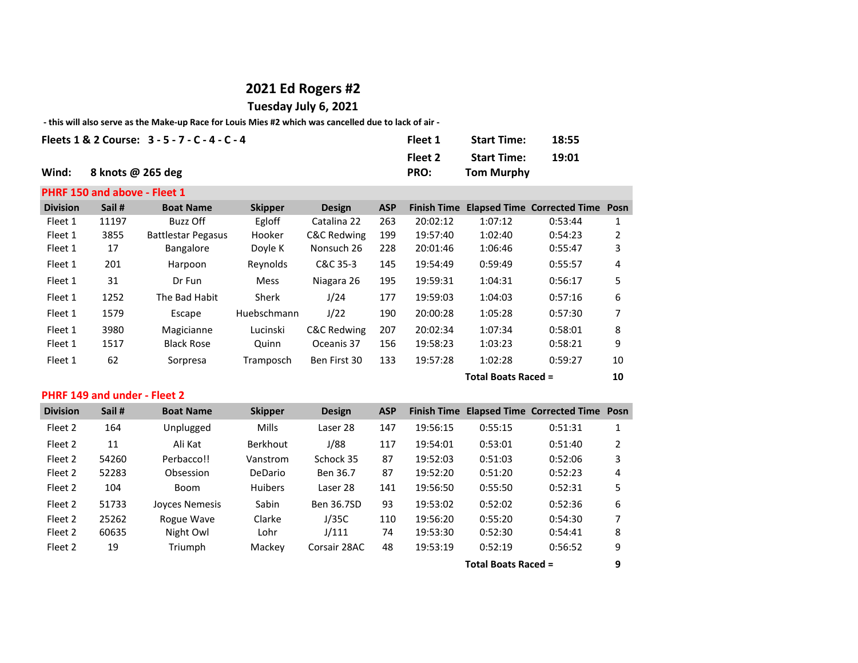## **2021 Ed Rogers #2**

**Tuesday July 6, 2021**

## **- this will also serve as the Make-up Race for Louis Mies #2 which was cancelled due to lack of air -**

| Fleets 1 & 2 Course: $3 - 5 - 7 - C - 4 - C - 4$ | Fleet 1 | <b>Start Time:</b> | 18:55 |
|--------------------------------------------------|---------|--------------------|-------|
|                                                  | Fleet 2 | <b>Start Time:</b> | 19:01 |
| Wind: $8$ knots @ 265 deg                        | PRO:    | Tom Murphy         |       |

## **PHRF 150 and above - Fleet 1**

| <b>Division</b> | Sail #                     | <b>Boat Name</b>          | <b>Skipper</b> | <b>Design</b> | <b>ASP</b> | <b>Finish Time</b> |         | <b>Elapsed Time Corrected Time Posn</b> |    |
|-----------------|----------------------------|---------------------------|----------------|---------------|------------|--------------------|---------|-----------------------------------------|----|
| Fleet 1         | 11197                      | Buzz Off                  | Egloff         | Catalina 22   | 263        | 20:02:12           | 1:07:12 | 0:53:44                                 |    |
| Fleet 1         | 3855                       | <b>Battlestar Pegasus</b> | Hooker         | C&C Redwing   | 199        | 19:57:40           | 1:02:40 | 0:54:23                                 | 2  |
| Fleet 1         | 17                         | <b>Bangalore</b>          | Doyle K        | Nonsuch 26    | 228        | 20:01:46           | 1:06:46 | 0:55:47                                 | 3  |
| Fleet 1         | 201                        | Harpoon                   | Reynolds       | C&C 35-3      | 145        | 19:54:49           | 0:59:49 | 0:55:57                                 | 4  |
| Fleet 1         | 31                         | Dr Fun                    | <b>Mess</b>    | Niagara 26    | 195        | 19:59:31           | 1:04:31 | 0:56:17                                 | 5  |
| Fleet 1         | 1252                       | The Bad Habit             | Sherk          | J/24          | 177        | 19:59:03           | 1:04:03 | 0:57:16                                 | 6  |
| Fleet 1         | 1579                       | Escape                    | Huebschmann    | J/22          | 190        | 20:00:28           | 1:05:28 | 0:57:30                                 | 7  |
| Fleet 1         | 3980                       | Magicianne                | Lucinski       | C&C Redwing   | 207        | 20:02:34           | 1:07:34 | 0:58:01                                 | 8  |
| Fleet 1         | 1517                       | <b>Black Rose</b>         | Quinn          | Oceanis 37    | 156        | 19:58:23           | 1:03:23 | 0:58:21                                 | 9  |
| Fleet 1         | 62                         | Sorpresa                  | Tramposch      | Ben First 30  | 133        | 19:57:28           | 1:02:28 | 0:59:27                                 | 10 |
|                 | <b>Total Boats Raced =</b> |                           |                |               |            |                    |         | 10                                      |    |

## **PHRF 149 and under - Fleet 2**

| <b>Division</b> | Sail#                      | <b>Boat Name</b>      | <b>Skipper</b>  | <b>Design</b> | <b>ASP</b> |          |         | Finish Time Elapsed Time Corrected Time Posn |   |
|-----------------|----------------------------|-----------------------|-----------------|---------------|------------|----------|---------|----------------------------------------------|---|
| Fleet 2         | 164                        | Unplugged             | <b>Mills</b>    | Laser 28      | 147        | 19:56:15 | 0:55:15 | 0:51:31                                      |   |
| Fleet 2         | 11                         | Ali Kat               | <b>Berkhout</b> | J/88          | 117        | 19:54:01 | 0:53:01 | 0:51:40                                      | 2 |
| Fleet 2         | 54260                      | Perbacco!!            | Vanstrom        | Schock 35     | 87         | 19:52:03 | 0:51:03 | 0:52:06                                      | 3 |
| Fleet 2         | 52283                      | Obsession             | DeDario         | Ben 36.7      | 87         | 19:52:20 | 0:51:20 | 0:52:23                                      | 4 |
| Fleet 2         | 104                        | Boom                  | <b>Huibers</b>  | Laser 28      | 141        | 19:56:50 | 0:55:50 | 0:52:31                                      | 5 |
| Fleet 2         | 51733                      | <b>Joyces Nemesis</b> | Sabin           | Ben 36.7SD    | 93         | 19:53:02 | 0:52:02 | 0:52:36                                      | 6 |
| Fleet 2         | 25262                      | Rogue Wave            | Clarke          | J/35C         | 110        | 19:56:20 | 0:55:20 | 0:54:30                                      |   |
| Fleet 2         | 60635                      | Night Owl             | Lohr            | J/111         | 74         | 19:53:30 | 0:52:30 | 0:54:41                                      | 8 |
| Fleet 2         | 19                         | Triumph               | Mackey          | Corsair 28AC  | 48         | 19:53:19 | 0:52:19 | 0:56:52                                      | 9 |
|                 | <b>Total Boats Raced =</b> |                       |                 |               |            |          | 9       |                                              |   |